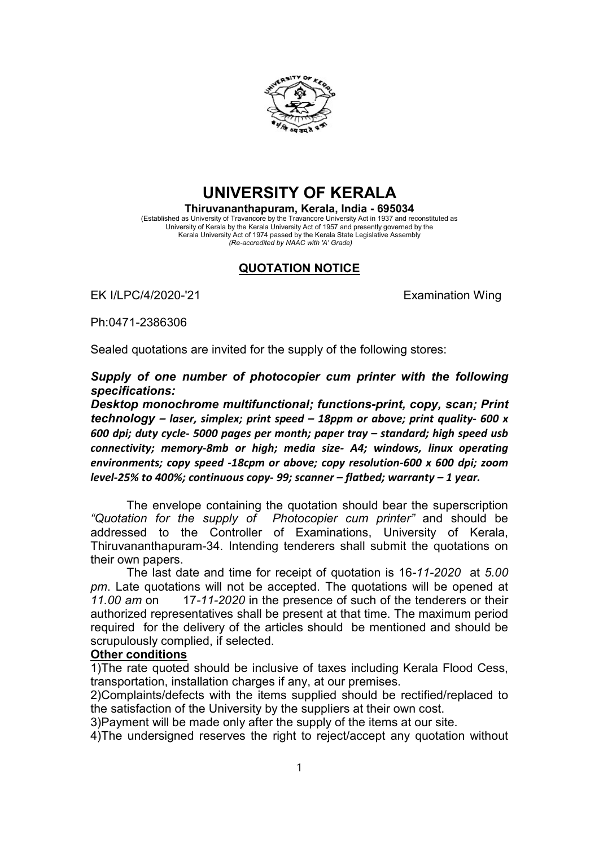

## UNIVERSITY OF KERALA

Thiruvananthapuram, Kerala, India - 695034 (Established as University of Travancore by the Travancore University Act in 1937 and reconstituted as University of Kerala by the Kerala University Act of 1957 and presently governed by the Kerala University Act of 1974 passed by the Kerala State Legislative Assembly (Re-accredited by NAAC with 'A' Grade)

## QUOTATION NOTICE

EK I/LPC/4/2020-'21 EXamination Wing

Ph:0471-2386306

Sealed quotations are invited for the supply of the following stores:

Supply of one number of photocopier cum printer with the following specifications:

Desktop monochrome multifunctional; functions-print, copy, scan; Print technology – laser, simplex; print speed – 18ppm or above; print quality- 600 x 600 dpi; duty cycle- 5000 pages per month; paper tray – standard; high speed usb connectivity; memory-8mb or high; media size- A4; windows, linux operating environments; copy speed -18cpm or above; copy resolution-600 x 600 dpi; zoom level-25% to 400%; continuous copy- 99; scanner – flatbed; warranty – 1 year.

The envelope containing the quotation should bear the superscription "Quotation for the supply of Photocopier cum printer" and should be addressed to the Controller of Examinations, University of Kerala, Thiruvananthapuram-34. Intending tenderers shall submit the quotations on their own papers.

The last date and time for receipt of quotation is 16-11-2020 at 5.00 pm. Late quotations will not be accepted. The quotations will be opened at 11.00 am on 17-11-2020 in the presence of such of the tenderers or their authorized representatives shall be present at that time. The maximum period required for the delivery of the articles should be mentioned and should be scrupulously complied, if selected.

## Other conditions

1)The rate quoted should be inclusive of taxes including Kerala Flood Cess, transportation, installation charges if any, at our premises.

2)Complaints/defects with the items supplied should be rectified/replaced to the satisfaction of the University by the suppliers at their own cost.

3)Payment will be made only after the supply of the items at our site.

4)The undersigned reserves the right to reject/accept any quotation without